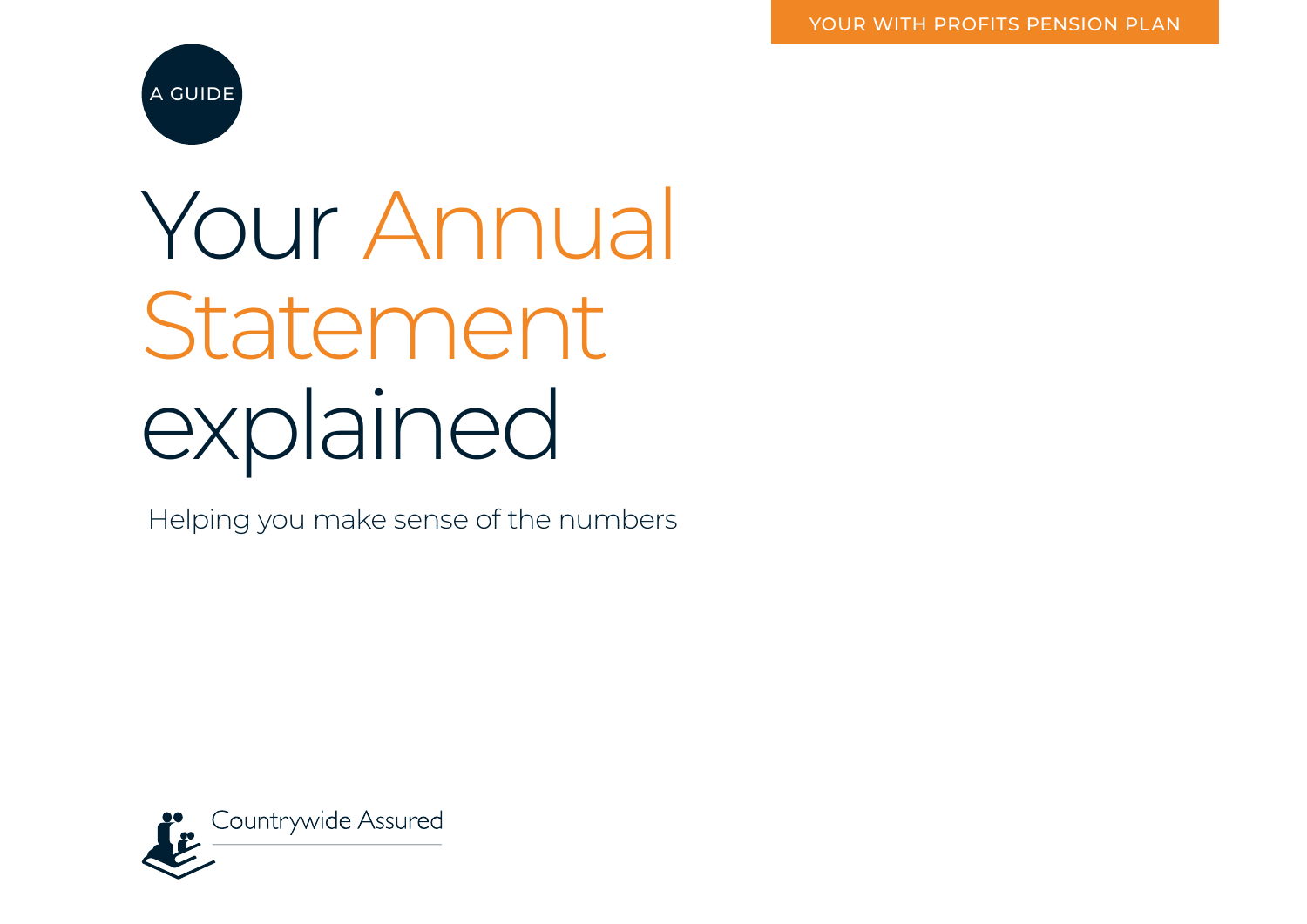

# Your Annual Statement explained

Helping you make sense of the numbers

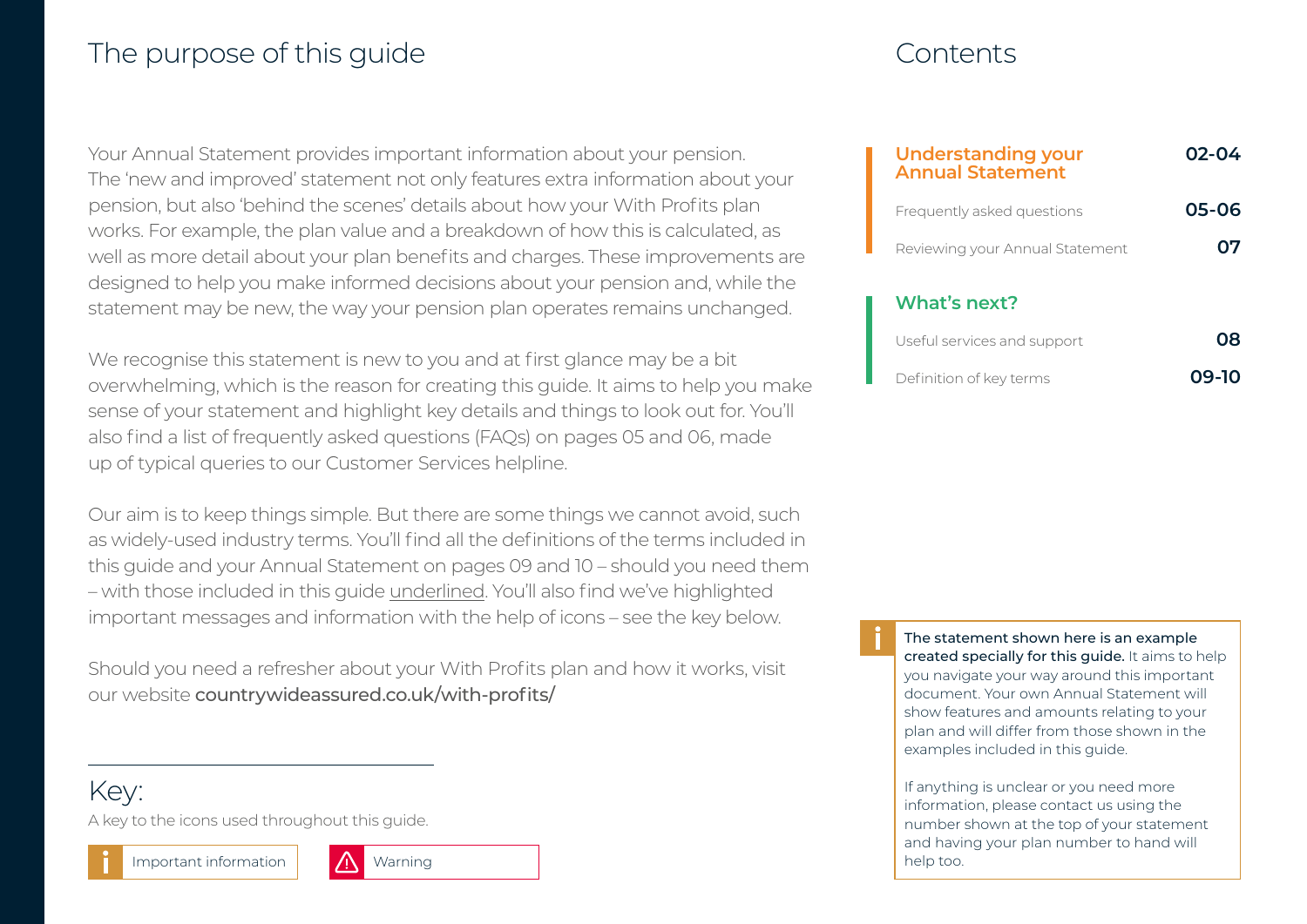### The purpose of this guide The purpose of this guide

| <b>Understanding your</b><br><b>Annual Statement</b> | 02-04 |
|------------------------------------------------------|-------|
| Frequently asked questions                           | 05-06 |
| Reviewing your Annual Statement                      |       |
| What's next?                                         |       |
| Useful services and support                          |       |

Definition of key terms **09-10**

We recognise this statement is new to you and at first glance may be a bit overwhelming, which is the reason for creating this guide. It aims to help you make sense of your statement and highlight key details and things to look out for. You'll also find a list of frequently asked questions (FAQs) on pages 05 and 06, made up of typical queries to our Customer Services helpline.

Your Annual Statement provides important information about your pension.

The 'new and improved' statement not only features extra information about your pension, but also 'behind the scenes' details about how your With Profits plan works. For example, the plan value and a breakdown of how this is calculated, as well as more detail about your plan benefits and charges. These improvements are designed to help you make informed decisions about your pension and, while the statement may be new, the way your pension plan operates remains unchanged.

Our aim is to keep things simple. But there are some things we cannot avoid, such as widely-used industry terms. You'll find all the definitions of the terms included in this guide and your Annual Statement on pages 09 and 10 – should you need them – with those included in this guide underlined. You'll also find we've highlighted important messages and information with the help of icons – see the key below.

Should you need a refresher about your With Profits plan and how it works, visit our website [countrywideassured.co.uk/with-profits/](https://www.countrywideassured.co.uk/with-profits/)

Key:

A key to the icons used throughout this guide.





The statement shown here is an example created specially for this guide. It aims to help you navigate your way around this important document. Your own Annual Statement will show features and amounts relating to your plan and will differ from those shown in the examples included in this guide.

If anything is unclear or you need more information, please contact us using the number shown at the top of your statement and having your plan number to hand will help too.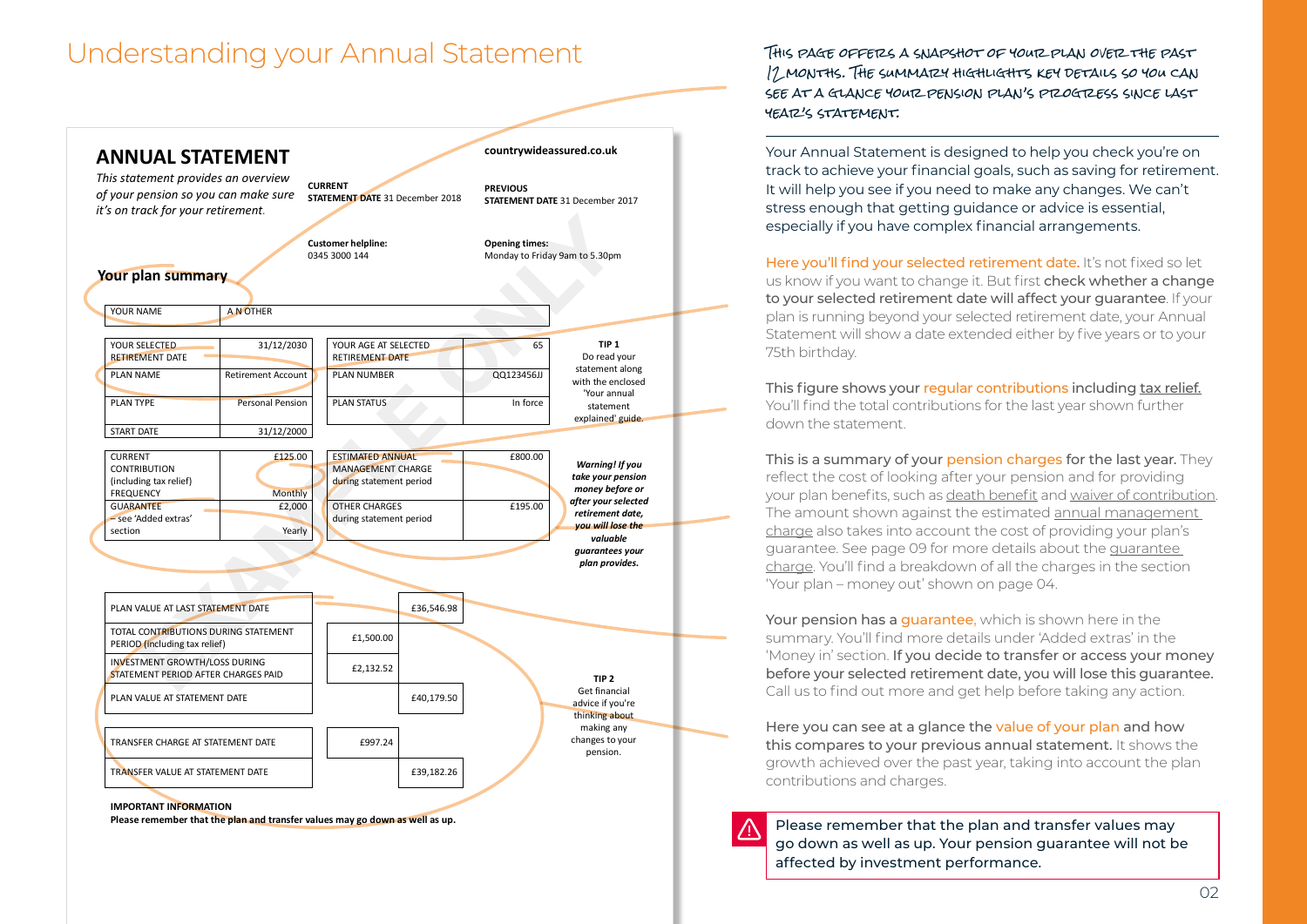### Understanding your Annual Statement



**Please remember that the plan and transfer values may go down as well as up.**

This page offeres a snapshot of your plan overe the past 12 MONTHS. THE SUMMARY HIGHLIGHTS KEY DETAILS SO YOU CAN SEE AT A GLANCE YOUR PENSION PLAN'S PROGRESS SINCE LAST year's statement.

Your Annual Statement is designed to help you check you're on track to achieve your financial goals, such as saving for retirement. It will help you see if you need to make any changes. We can't stress enough that getting guidance or advice is essential, especially if you have complex financial arrangements.

Here you'll find your selected retirement date. It's not fixed so let us know if you want to change it. But first check whether a change to your selected retirement date will affect your guarantee. If your plan is running beyond your selected retirement date, your Annual Statement will show a date extended either by five years or to your 75th birthday.

This figure shows your regular contributions including tax relief. You'll find the total contributions for the last year shown further down the statement.

This is a summary of your pension charges for the last year. They reflect the cost of looking after your pension and for providing your plan benefits, such as death benefit and waiver of contribution. The amount shown against the estimated annual management charge also takes into account the cost of providing your plan's guarantee. See page 09 for more details about the guarantee charge. You'll find a breakdown of all the charges in the section 'Your plan – money out' shown on page 04.

Your pension has a quarantee, which is shown here in the summary. You'll find more details under 'Added extras' in the 'Money in' section. If you decide to transfer or access your money before your selected retirement date, you will lose this guarantee. Call us to find out more and get help before taking any action.

Here you can see at a glance the value of your plan and how this compares to your previous annual statement. It shows the growth achieved over the past year, taking into account the plan contributions and charges.

Please remember that the plan and transfer values may go down as well as up. Your pension guarantee will not be affected by investment performance.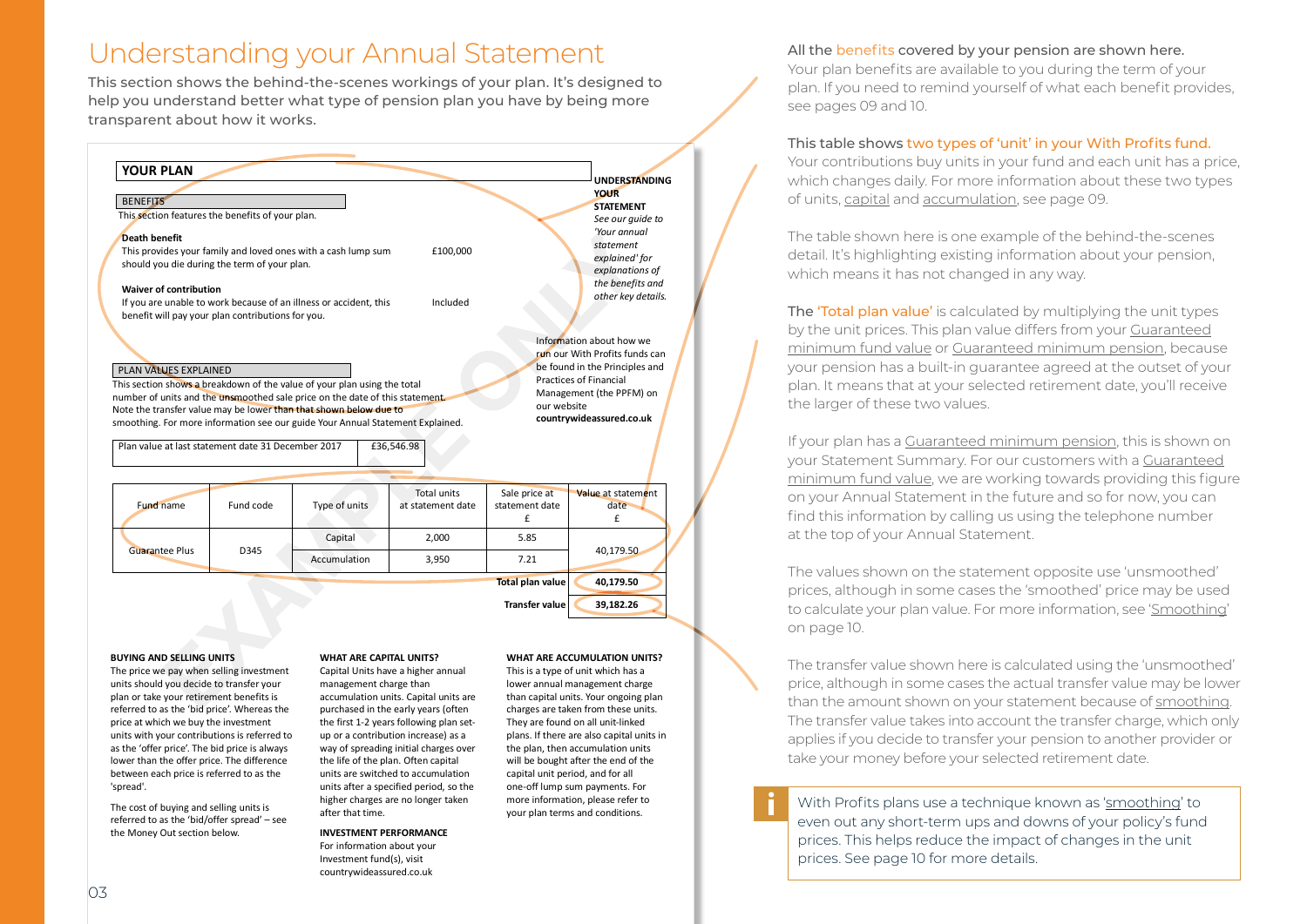### Understanding your Annual Statement All the benefits covered by your pension are shown here.

This section shows the behind-the-scenes workings of your plan. It's designed to help you understand better what type of pension plan you have by being more transparent about how it works.



#### **BUYING AND SELLING UNITS**

The price we pay when selling investment units should you decide to transfer your plan or take your retirement benefits is referred to as the 'bid price'. Whereas the price at which we buy the investment units with your contributions is referred to as the 'offer price'. The bid price is always lower than the offer price. The difference between each price is referred to as the 'spread'.

The cost of buying and selling units is referred to as the 'bid/offer spread' – see the Money Out section below.

#### **WHAT ARE CAPITAL UNITS?**

Capital Units have a higher annual management charge than accumulation units. Capital units are purchased in the early years (often the first 1-2 years following plan setup or a contribution increase) as a way of spreading initial charges over the life of the plan. Often capital units are switched to accumulation units after a specified period, so the higher charges are no longer taken after that time.

**INVESTMENT PERFORMANCE** For information about your Investment fund(s), visit countrywideassured.co.uk

### **WHAT ARE ACCUMULATION UNITS?**

This is a type of unit which has a lower annual management charge than capital units. Your ongoing plan charges are taken from these units. They are found on all unit-linked plans. If there are also capital units in the plan, then accumulation units will be bought after the end of the capital unit period, and for all one-off lump sum payments. For more information, please refer to your plan terms and conditions.

Your plan benefits are available to you during the term of your plan. If you need to remind yourself of what each benefit provides, see pages 09 and 10.

### This table shows two types of 'unit' in your With Profits fund.

Your contributions buy units in your fund and each unit has a price, which changes daily. For more information about these two types of units, capital and accumulation, see page 09.

The table shown here is one example of the behind-the-scenes detail. It's highlighting existing information about your pension, which means it has not changed in any way.

The 'Total plan value' is calculated by multiplying the unit types by the unit prices. This plan value differs from your Guaranteed minimum fund value or Guaranteed minimum pension, because your pension has a built-in guarantee agreed at the outset of your plan. It means that at your selected retirement date, you'll receive the larger of these two values.

If your plan has a Guaranteed minimum pension, this is shown on your Statement Summary. For our customers with a Guaranteed minimum fund value, we are working towards providing this figure on your Annual Statement in the future and so for now, you can find this information by calling us using the telephone number at the top of your Annual Statement.

The values shown on the statement opposite use 'unsmoothed' prices, although in some cases the 'smoothed' price may be used to calculate your plan value. For more information, see 'Smoothing' on page 10.

The transfer value shown here is calculated using the 'unsmoothed' price, although in some cases the actual transfer value may be lower than the amount shown on your statement because of smoothing. The transfer value takes into account the transfer charge, which only applies if you decide to transfer your pension to another provider or take your money before your selected retirement date.

With Profits plans use a technique known as 'smoothing' to even out any short-term ups and downs of your policy's fund prices. This helps reduce the impact of changes in the unit prices. See page 10 for more details.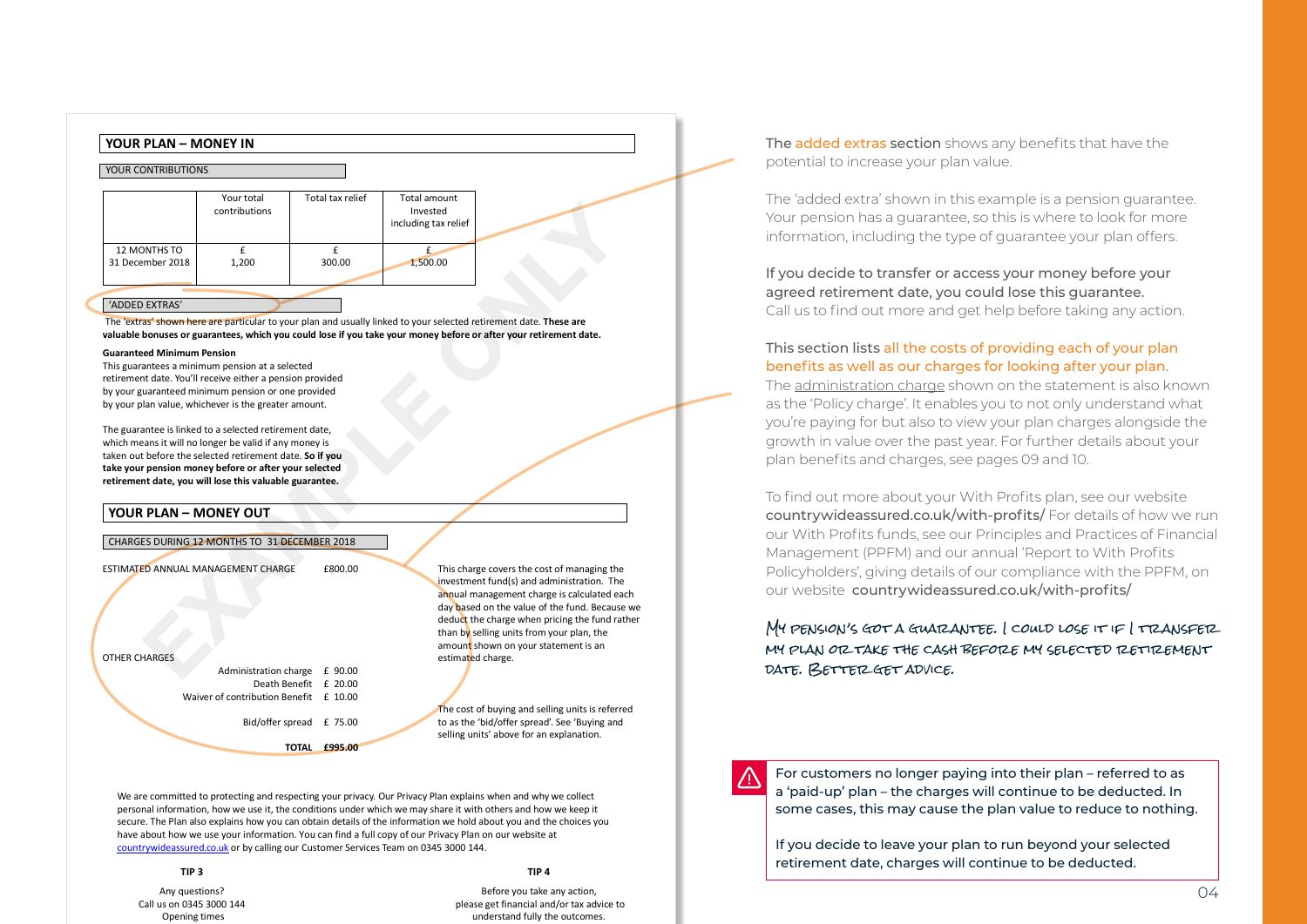

The 'extras' shown here are particular to your plan and usually linked to your selected retirement date. **These are valuable bonuses or guarantees, which you could lose if you take your money before or after your retirement date.**

#### **Guaranteed Minimum Pension**

This guarantees a minimum pension at a selected retirement date. You'll receive either a pension provided by your guaranteed minimum pension or one provided by your plan value, whichever is the greater amount.

The guarantee is linked to a selected retirement date, which means it will no longer be valid if any money is taken out before the selected retirement date. **So if you take your pension money before or after your selected retirement date, you will lose this valuable guarantee.**

#### **YOUR PLAN – MONEY OUT**

| CHARGES DURING 12 MONTHS TO 31 DECEMBER 2018 |  |  |
|----------------------------------------------|--|--|
|                                              |  |  |

ESTIMATED ANNUAL MANAGEMENT CHARGE £800.00

OTHER CHARGES

| Administration charge £ 90.00          |  |
|----------------------------------------|--|
| Death Benefit £ 20.00                  |  |
| Waiver of contribution Benefit £ 10.00 |  |
| Bid/offer spread £ 75.00               |  |

**TOTAL £995.00**

This charge covers the cost of managing the investment fund(s) and administration. The annual management charge is calculated each day based on the value of the fund. Because we deduct the charge when pricing the fund rather than by selling units from your plan, the amount shown on your statement is an estimated charge.

The cost of buying and selling units is referred to as the 'bid/offer spread'. See 'Buying and selling units' above for an explanation.

We are committed to protecting and respecting your privacy. Our Privacy Plan explains when and why we collect personal information, how we use it, the conditions under which we may share it with others and how we keep it secure. The Plan also explains how you can obtain details of the information we hold about you and the choices you have about how we use your information. You can find a full copy of our Privacy Plan on our website at countrywideassured.co.uk or by calling our Customer Services Team on 0345 3000 144.

**TIP 3 TIP 4** Any questions? Call us on 0345 3000 144 Opening times

Before you take any action, please get financial and/or tax advice to understand fully the outcomes.

The added extras section shows any benefits that have the potential to increase your plan value.

The 'added extra' shown in this example is a pension guarantee. Your pension has a guarantee, so this is where to look for more information, including the type of guarantee your plan offers.

If you decide to transfer or access your money before your agreed retirement date, you could lose this guarantee. Call us to find out more and get help before taking any action.

### This section lists all the costs of providing each of your plan benefits as well as our charges for looking after your plan.

The administration charge shown on the statement is also known as the 'Policy charge'. It enables you to not only understand what you're paying for but also to view your plan charges alongside the growth in value over the past year. For further details about your plan benefits and charges, see pages 09 and 10.

To find out more about your With Profits plan, see our website [countrywideassured.co.uk/with-profits/](https://www.countrywideassured.co.uk/with-profits/)For details of how we run our With Profits funds, see our Principles and Practices of Financial Management (PPFM) and our annual 'Report to With Profits Policyholders', giving details of our compliance with the PPFM, on our website [countrywideassured.co.uk/with-profits/](https://www.countrywideassured.co.uk/with-profits/)

### MY PENSION'S GOT A GUATZANTEE. I COULD LOSE IT IF I TRANSFER MY PLAN OR TAKE THE CASH BEFORE MY SELECTED RETIREMENT DATE. BETTER GET ADVICE.



For customers no longer paying into their plan – referred to as a 'paid-up' plan – the charges will continue to be deducted. In some cases, this may cause the plan value to reduce to nothing.

If you decide to leave your plan to run beyond your selected retirement date, charges will continue to be deducted.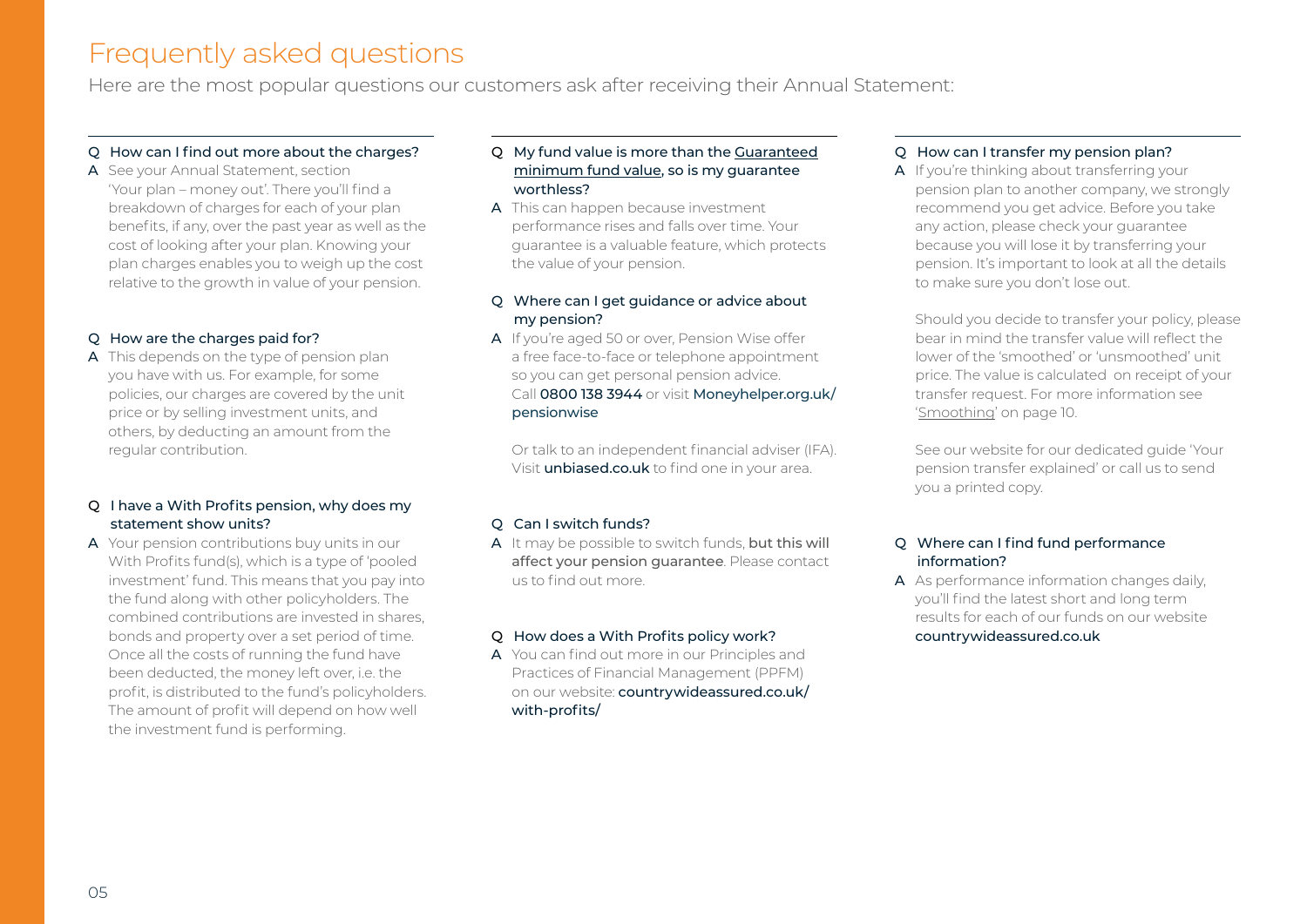### Frequently asked questions

Here are the most popular questions our customers ask after receiving their Annual Statement:

### Q How can I find out more about the charges?

A See your Annual Statement, section 'Your plan – money out'. There you'll find a breakdown of charges for each of your plan benefits, if any, over the past year as well as the cost of looking after your plan. Knowing your plan charges enables you to weigh up the cost relative to the growth in value of your pension.

### Q How are the charges paid for?

A This depends on the type of pension plan you have with us. For example, for some policies, our charges are covered by the unit price or by selling investment units, and others, by deducting an amount from the regular contribution.

### Q I have a With Profits pension, why does my statement show units?

A Your pension contributions buy units in our With Profits fund(s), which is a type of 'pooled investment' fund. This means that you pay into the fund along with other policyholders. The combined contributions are invested in shares, bonds and property over a set period of time. Once all the costs of running the fund have been deducted, the money left over, i.e. the profit, is distributed to the fund's policyholders. The amount of profit will depend on how well the investment fund is performing.

### Q My fund value is more than the Guaranteed minimum fund value, so is my guarantee worthless?

A This can happen because investment performance rises and falls over time. Your guarantee is a valuable feature, which protects the value of your pension.

### Q Where can I get guidance or advice about my pension?

A If you're aged 50 or over, Pension Wise offer a free face-to-face or telephone appointment so you can get personal pension advice. Call 0800 138 3944 or visit [Moneyhelper.org.uk/](https://www.moneyhelper.org.uk/en/pensions-and-retirement/pension-wise) [pensionwise](https://www.moneyhelper.org.uk/en/pensions-and-retirement/pension-wise)

Or talk to an independent financial adviser (IFA). Visit **[unbiased.co.uk](https://www.unbiased.co.uk/)** to find one in your area.

### Q Can I switch funds?

A It may be possible to switch funds, but this will affect your pension guarantee. Please contact us to find out more.

### Q How does a With Profits policy work?

A You can find out more in our Principles and Practices of Financial Management (PPFM) on our website: countrywideassured.co.uk/ with-profits/

### Q How can I transfer my pension plan?

A If you're thinking about transferring your pension plan to another company, we strongly recommend you get advice. Before you take any action, please check your guarantee because you will lose it by transferring your pension. It's important to look at all the details to make sure you don't lose out.

Should you decide to transfer your policy, please bear in mind the transfer value will reflect the lower of the 'smoothed' or 'unsmoothed' unit price. The value is calculated on receipt of your transfer request. For more information see 'Smoothing' on page 10.

See our website for our dedicated guide 'Your pension transfer explained' or call us to send you a printed copy.

### Q Where can I find fund performance information?

A As performance information changes daily, you'll find the latest short and long term results for each of our funds on our website [countrywideassured.co.uk](https://www.countrywideassured.co.uk/)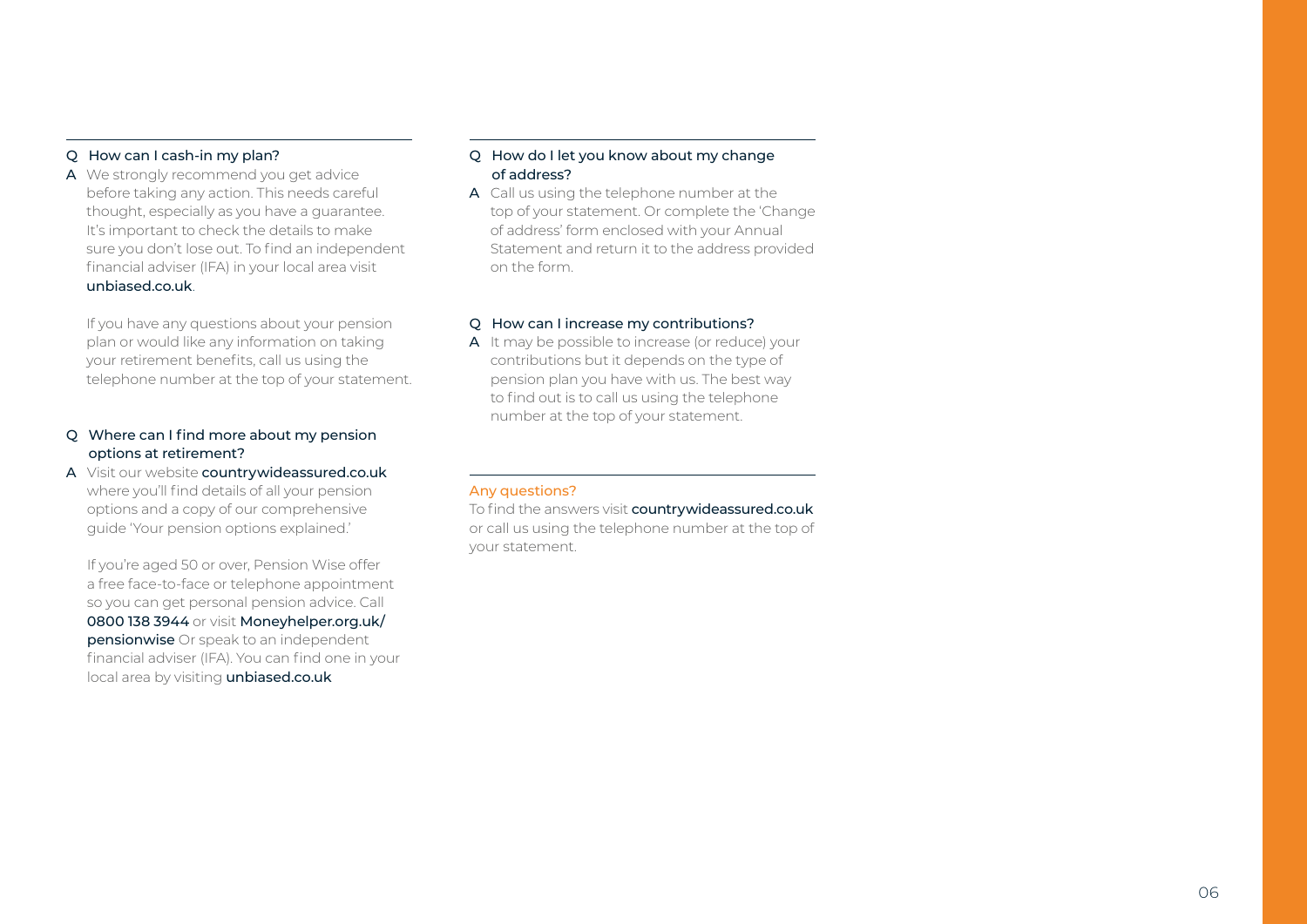### Q How can I cash-in my plan?

A We strongly recommend you get advice before taking any action. This needs careful thought, especially as you have a guarantee. It's important to check the details to make sure you don't lose out. To find an independent financial adviser (IFA) in your local area visit [unbiased.co.uk](https://www.unbiased.co.uk/).

If you have any questions about your pension plan or would like any information on taking your retirement benefits, call us using the telephone number at the top of your statement.

### Q Where can I find more about my pension options at retirement?

A Visit our website [countrywideassured.co.uk](https://www.countrywideassured.co.uk/) where you'll find details of all your pension options and a copy of our comprehensive guide 'Your pension options explained.'

If you're aged 50 or over, Pension Wise offer a free face-to-face or telephone appointment so you can get personal pension advice. Call 0800 138 3944 or visit [Moneyhelper.org.uk/](https://www.moneyhelper.org.uk/en/pensions-and-retirement/pension-wise) **[pensionwise](https://www.moneyhelper.org.uk/en/pensions-and-retirement/pension-wise)** Or speak to an independent financial adviser (IFA). You can find one in your local area by visiting [unbiased.co.uk](https://www.unbiased.co.uk/)

### Q How do I let you know about my change of address?

A Call us using the telephone number at the top of your statement. Or complete the 'Change of address' form enclosed with your Annual Statement and return it to the address provided on the form.

### Q How can I increase my contributions?

A It may be possible to increase (or reduce) your contributions but it depends on the type of pension plan you have with us. The best way to find out is to call us using the telephone number at the top of your statement.

### Any questions?

To find the answers visit [countrywideassured.co.uk](https://www.countrywideassured.co.uk/) or call us using the telephone number at the top of your statement.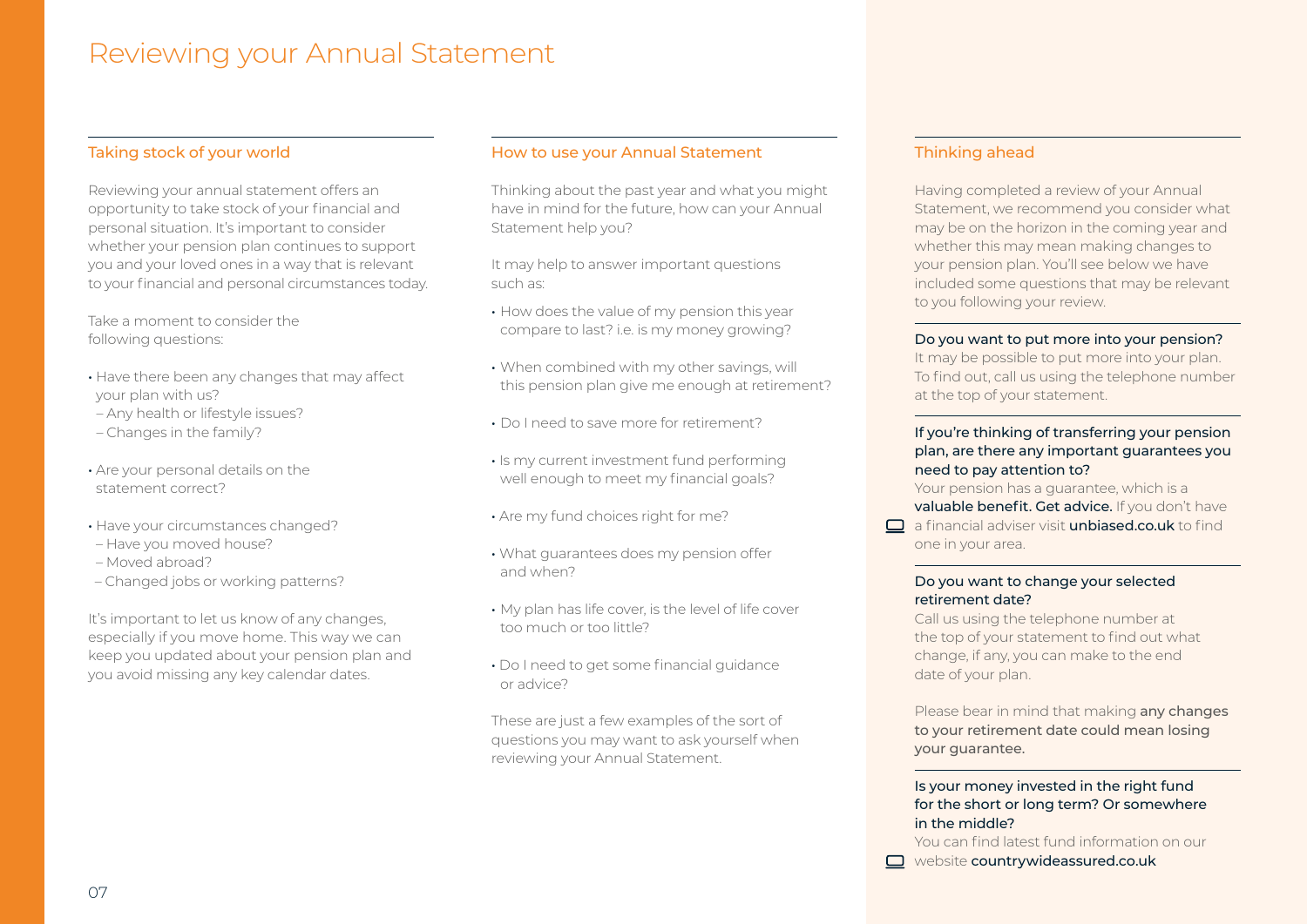### Reviewing your Annual Statement

### Taking stock of your world

Reviewing your annual statement offers an opportunity to take stock of your financial and personal situation. It's important to consider whether your pension plan continues to support you and your loved ones in a way that is relevant to your financial and personal circumstances today.

Take a moment to consider the following questions:

- Have there been any changes that may affect your plan with us?
- Any health or lifestyle issues?
- Changes in the family?
- Are your personal details on the statement correct?
- Have your circumstances changed?
- Have you moved house?
- Moved abroad?
- Changed jobs or working patterns?

It's important to let us know of any changes, especially if you move home. This way we can keep you updated about your pension plan and you avoid missing any key calendar dates.

### How to use your Annual Statement

Thinking about the past year and what you might have in mind for the future, how can your Annual Statement help you?

It may help to answer important questions such as:

- How does the value of my pension this year compare to last? i.e. is my money growing?
- When combined with my other savings, will this pension plan give me enough at retirement?
- Do I need to save more for retirement?
- Is my current investment fund performing well enough to meet my financial goals?
- Are my fund choices right for me?
- What guarantees does my pension offer and when?
- My plan has life cover, is the level of life cover too much or too little?
- Do I need to get some financial guidance or advice?

These are just a few examples of the sort of questions you may want to ask yourself when reviewing your Annual Statement.

### Thinking ahead

Having completed a review of your Annual Statement, we recommend you consider what may be on the horizon in the coming year and whether this may mean making changes to your pension plan. You'll see below we have included some questions that may be relevant to you following your review.

### Do you want to put more into your pension?

It may be possible to put more into your plan. To find out, call us using the telephone number at the top of your statement.

### If you're thinking of transferring your pension plan, are there any important guarantees you need to pay attention to?

Your pension has a guarantee, which is a valuable benefit. Get advice. If you don't have  $\Box$  a financial adviser visit **[unbiased.co.uk](https://www.unbiased.co.uk/)** to find one in your area.

### Do you want to change your selected retirement date?

Call us using the telephone number at the top of your statement to find out what change, if any, you can make to the end date of your plan.

Please bear in mind that making any changes to your retirement date could mean losing your guarantee.

### Is your money invested in the right fund for the short or long term? Or somewhere in the middle?

You can find latest fund information on our

website [countrywideassured.co.uk](https://www.countrywideassured.co.uk/)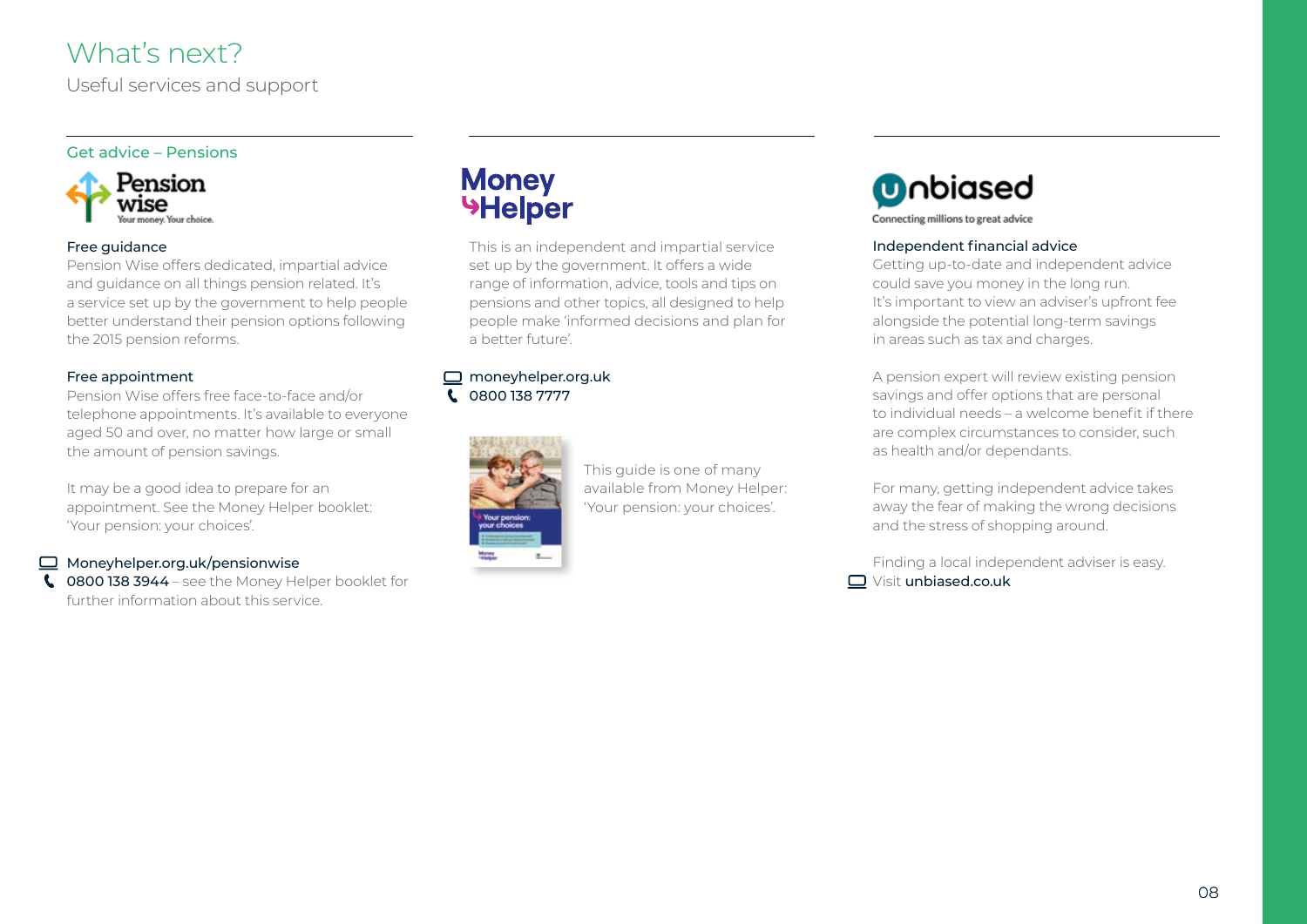### What's next?

Useful services and support

### Get advice – Pensions



### Free guidance

Pension Wise offers dedicated, impartial advice and guidance on all things pension related. It's a service set up by the government to help people better understand their pension options following the 2015 pension reforms.

### Free appointment

Pension Wise offers free face-to-face and/or telephone appointments. It's available to everyone aged 50 and over, no matter how large or small the amount of pension savings.

It may be a good idea to prepare for an appointment. See the Money Helper booklet: 'Your pension: your choices'.

### $\Box$  [Moneyhelper.org.uk/pensionwise](https://www.moneyhelper.org.uk/en/pensions-and-retirement/pension-wise)

**C** 0800 138 3944 – see the Money Helper booklet for further information about this service.

## **Money<br>Helper**

This is an independent and impartial service set up by the government. It offers a wide range of information, advice, tools and tips on pensions and other topics, all designed to help people make 'informed decisions and plan for a better future'.

#### □ [moneyhelper.org.uk](https://www.moneyhelper.org.uk/en) 0800 138 7777  $\mathbf{C}$



This guide is one of many available from Money Helper: 'Your pension: your choices'.



### Independent financial advice

Getting up-to-date and independent advice could save you money in the long run. It's important to view an adviser's upfront fee alongside the potential long-term savings in areas such as tax and charges.

A pension expert will review existing pension savings and offer options that are personal to individual needs – a welcome benefit if there are complex circumstances to consider, such as health and/or dependants.

For many, getting independent advice takes away the fear of making the wrong decisions and the stress of shopping around.

Finding a local independent adviser is easy. Visit [unbiased.co.uk](https://www.unbiased.co.uk/)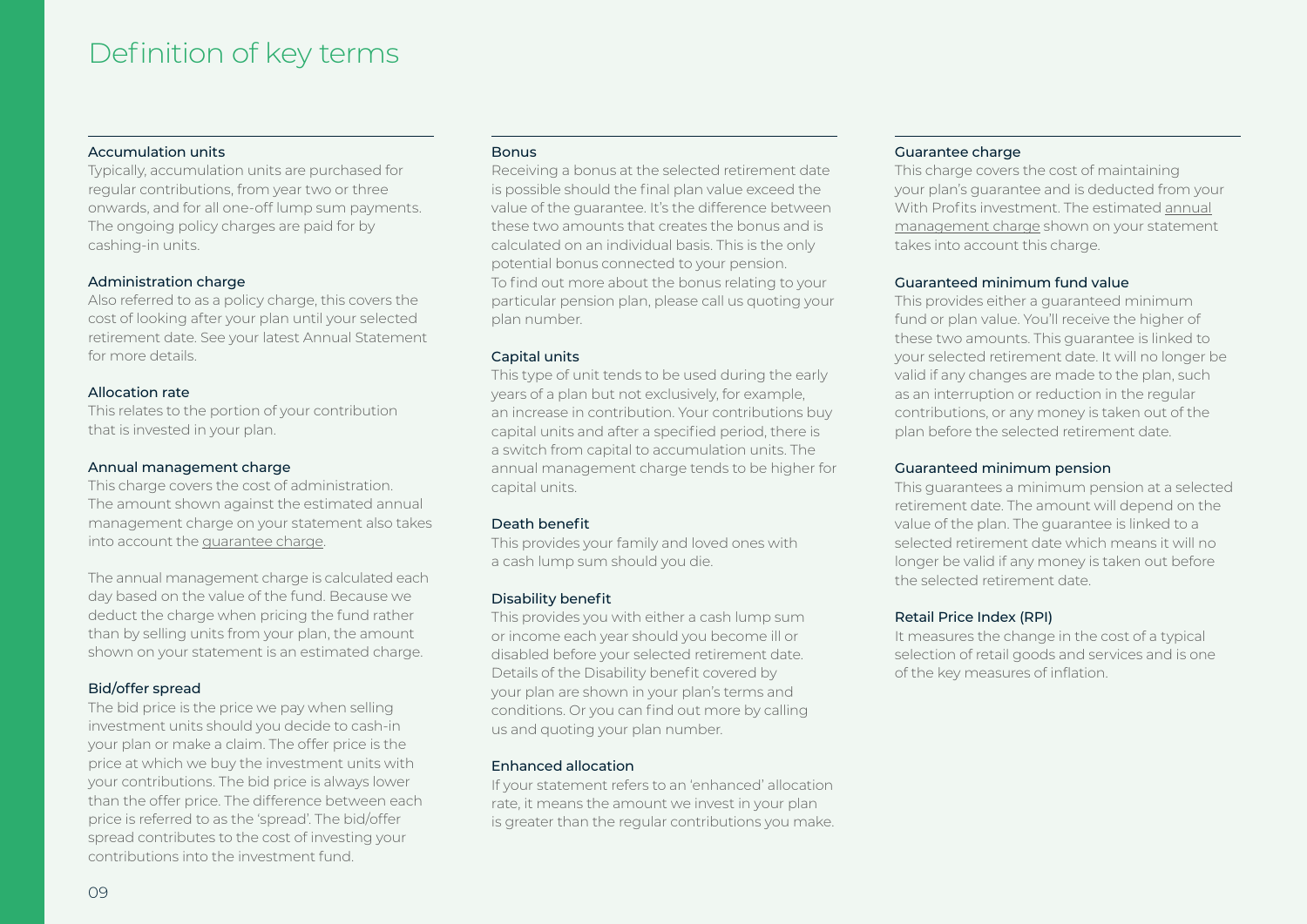### Definition of key terms

### Accumulation units

Typically, accumulation units are purchased for regular contributions, from year two or three onwards, and for all one-off lump sum payments. The ongoing policy charges are paid for by cashing-in units.

### Administration charge

Also referred to as a policy charge, this covers the cost of looking after your plan until your selected retirement date. See your latest Annual Statement for more details.

### Allocation rate

This relates to the portion of your contribution that is invested in your plan.

### Annual management charge

This charge covers the cost of administration. The amount shown against the estimated annual management charge on your statement also takes into account the guarantee charge.

The annual management charge is calculated each day based on the value of the fund. Because we deduct the charge when pricing the fund rather than by selling units from your plan, the amount shown on your statement is an estimated charge.

### Bid/offer spread

The bid price is the price we pay when selling investment units should you decide to cash-in your plan or make a claim. The offer price is the price at which we buy the investment units with your contributions. The bid price is always lower than the offer price. The difference between each price is referred to as the 'spread'. The bid/offer spread contributes to the cost of investing your contributions into the investment fund.

### **Bonus**

Receiving a bonus at the selected retirement date is possible should the final plan value exceed the value of the guarantee. It's the difference between these two amounts that creates the bonus and is calculated on an individual basis. This is the only potential bonus connected to your pension. To find out more about the bonus relating to your particular pension plan, please call us quoting your plan number.

### Capital units

This type of unit tends to be used during the early years of a plan but not exclusively, for example, an increase in contribution. Your contributions buy capital units and after a specified period, there is a switch from capital to accumulation units. The annual management charge tends to be higher for capital units.

### Death benefit

This provides your family and loved ones with a cash lump sum should you die.

### Disability benefit

This provides you with either a cash lump sum or income each year should you become ill or disabled before your selected retirement date. Details of the Disability benefit covered by your plan are shown in your plan's terms and conditions. Or you can find out more by calling us and quoting your plan number.

### Enhanced allocation

If your statement refers to an 'enhanced' allocation rate, it means the amount we invest in your plan is greater than the regular contributions you make.

### Guarantee charge

This charge covers the cost of maintaining your plan's guarantee and is deducted from your With Profits investment. The estimated annual management charge shown on your statement takes into account this charge.

### Guaranteed minimum fund value

This provides either a guaranteed minimum fund or plan value. You'll receive the higher of these two amounts. This guarantee is linked to your selected retirement date. It will no longer be valid if any changes are made to the plan, such as an interruption or reduction in the regular contributions, or any money is taken out of the plan before the selected retirement date.

### Guaranteed minimum pension

This guarantees a minimum pension at a selected retirement date. The amount will depend on the value of the plan. The guarantee is linked to a selected retirement date which means it will no longer be valid if any money is taken out before the selected retirement date.

### Retail Price Index (RPI)

It measures the change in the cost of a typical selection of retail goods and services and is one of the key measures of inflation.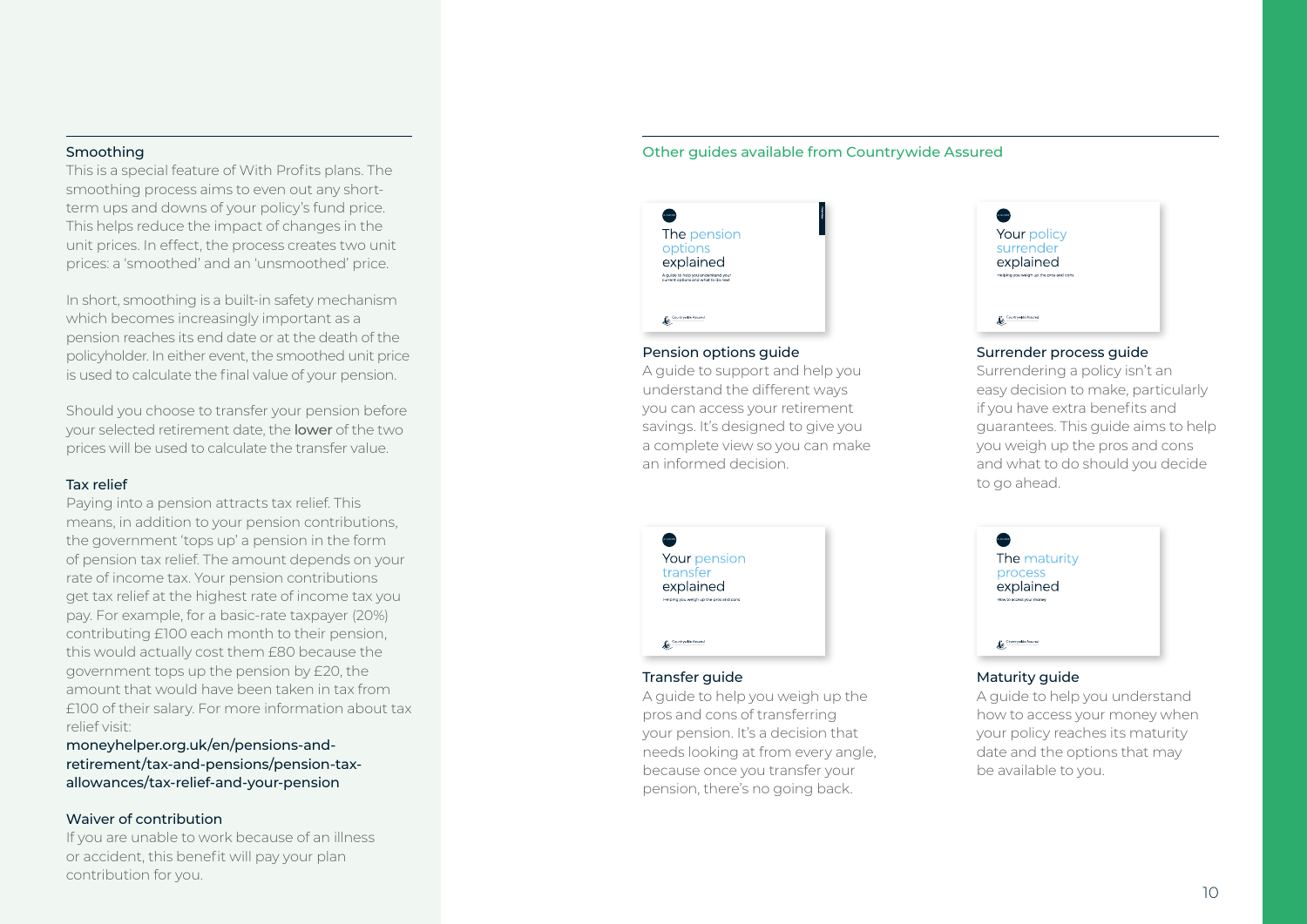### Smoothing

This is a special feature of With Profits plans. The smoothing process aims to even out any shortterm ups and downs of your policy's fund price. This helps reduce the impact of changes in the unit prices. In effect, the process creates two unit prices: a 'smoothed' and an 'unsmoothed' price.

In short, smoothing is a built-in safety mechanism which becomes increasingly important as a pension reaches its end date or at the death of the policyholder. In either event, the smoothed unit price is used to calculate the final value of your pension.

Should you choose to transfer your pension before your selected retirement date, the lower of the two prices will be used to calculate the transfer value.

### Tax relief

Paying into a pension attracts tax relief. This means, in addition to your pension contributions, the government 'tops up' a pension in the form of pension tax relief. The amount depends on your rate of income tax. Your pension contributions get tax relief at the highest rate of income tax you pay. For example, for a basic-rate taxpayer (20%) contributing £100 each month to their pension, this would actually cost them £80 because the government tops up the pension by £20, the amount that would have been taken in tax from £100 of their salary. For more information about tax relief visit:

[moneyhelper.org.uk/en/pensions-and](https://www.moneyhelper.org.uk/en/pensions-and-retirement/tax-and-pensions/tax-relief-and-your-pension)[retirement/tax-and-pensions/pension-tax](https://www.moneyhelper.org.uk/en/pensions-and-retirement/tax-and-pensions/tax-relief-and-your-pension)[allowances/tax-relief-and-your-pension](https://www.moneyhelper.org.uk/en/pensions-and-retirement/tax-and-pensions/tax-relief-and-your-pension)

### Waiver of contribution

If you are unable to work because of an illness or accident, this benefit will pay your plan contribution for you.

### Other guides available from Countrywide Assured

| A OUIDE<br>The pension<br>options<br>explained<br>A quide to help you understand your<br>current options and what to do next | A OUIDE<br>Yc<br>SU<br>ex<br>Helpin |
|------------------------------------------------------------------------------------------------------------------------------|-------------------------------------|
| Countrywide Assured<br>Ŀ                                                                                                     | r. –                                |

### Pension options guide

A guide to support and help you understand the different ways you can access your retirement savings. It's designed to give you a complete view so you can make an informed decision.



### Surrender process guide

Surrendering a policy isn't an easy decision to make, particularly if you have extra benefits and guarantees. This guide aims to help you weigh up the pros and cons and what to do should you decide to go ahead.

| A CUIDE                                | .<br>A GUIDE |
|----------------------------------------|--------------|
| Your pension                           | Тŀ           |
| transfer                               | Эľ           |
| explained                              | ex           |
| Helping you weigh up the pros and cons | How to       |
|                                        |              |
| Countrywide Assured                    | 6.9          |

### Transfer guide

A guide to help you weigh up the pros and cons of transferring your pension. It's a decision that needs looking at from every angle, because once you transfer your pension, there's no going back.



### Maturity guide

A guide to help you understand how to access your money when your policy reaches its maturity date and the options that may be available to you.